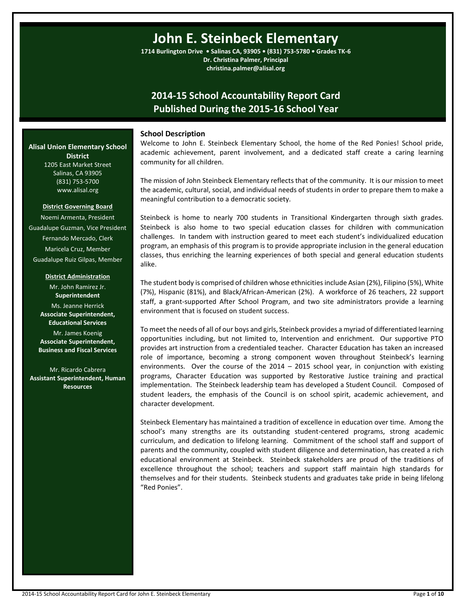# **John E. Steinbeck Elementary**

**1714 Burlington Drive • Salinas CA, 93905 • (831) 753-5780 • Grades TK-6 Dr. Christina Palmer, Principal christina.palmer@alisal.org**

## **2014-15 School Accountability Report Card Published During the 2015-16 School Year**

## **School Description**

Welcome to John E. Steinbeck Elementary School, the home of the Red Ponies! School pride, academic achievement, parent involvement, and a dedicated staff create a caring learning community for all children.

The mission of John Steinbeck Elementary reflects that of the community. It is our mission to meet the academic, cultural, social, and individual needs of students in order to prepare them to make a meaningful contribution to a democratic society.

Steinbeck is home to nearly 700 students in Transitional Kindergarten through sixth grades. Steinbeck is also home to two special education classes for children with communication challenges. In tandem with instruction geared to meet each student's individualized education program, an emphasis of this program is to provide appropriate inclusion in the general education classes, thus enriching the learning experiences of both special and general education students alike.

The student body is comprised of children whose ethnicities include Asian (2%), Filipino (5%), White (7%), Hispanic (81%), and Black/African-American (2%). A workforce of 26 teachers, 22 support staff, a grant-supported After School Program, and two site administrators provide a learning environment that is focused on student success.

To meet the needs of all of our boys and girls, Steinbeck provides a myriad of differentiated learning opportunities including, but not limited to, Intervention and enrichment. Our supportive PTO provides art instruction from a credentialed teacher. Character Education has taken an increased role of importance, becoming a strong component woven throughout Steinbeck's learning environments. Over the course of the 2014 – 2015 school year, in conjunction with existing programs, Character Education was supported by Restorative Justice training and practical implementation. The Steinbeck leadership team has developed a Student Council. Composed of student leaders, the emphasis of the Council is on school spirit, academic achievement, and character development.

Steinbeck Elementary has maintained a tradition of excellence in education over time. Among the school's many strengths are its outstanding student-centered programs, strong academic curriculum, and dedication to lifelong learning. Commitment of the school staff and support of parents and the community, coupled with student diligence and determination, has created a rich educational environment at Steinbeck. Steinbeck stakeholders are proud of the traditions of excellence throughout the school; teachers and support staff maintain high standards for themselves and for their students. Steinbeck students and graduates take pride in being lifelong "Red Ponies".

## **Alisal Union Elementary School District** 1205 East Market Street

Salinas, CA 93905 (831) 753-5700 www.alisal.org

#### **District Governing Board**

Noemi Armenta, President Guadalupe Guzman, Vice President Fernando Mercado, Clerk Maricela Cruz, Member Guadalupe Ruiz Gilpas, Member

#### **District Administration**

Mr. John Ramirez Jr. **Superintendent** Ms. Jeanne Herrick **Associate Superintendent, Educational Services** Mr. James Koenig **Associate Superintendent, Business and Fiscal Services**

Mr. Ricardo Cabrera **Assistant Superintendent, Human Resources**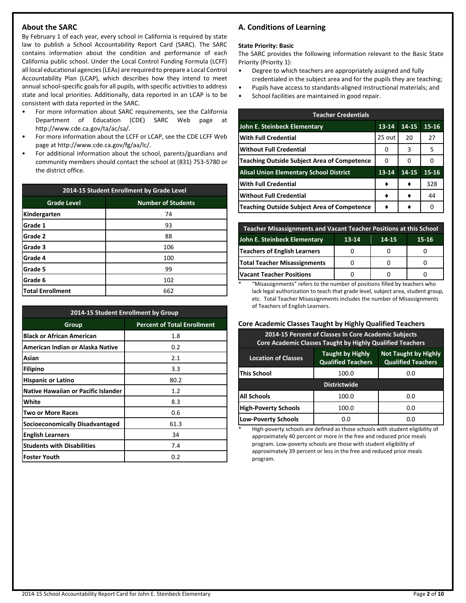## **About the SARC**

By February 1 of each year, every school in California is required by state law to publish a School Accountability Report Card (SARC). The SARC contains information about the condition and performance of each California public school. Under the Local Control Funding Formula (LCFF) all local educational agencies (LEAs) are required to prepare a Local Control Accountability Plan (LCAP), which describes how they intend to meet annual school-specific goals for all pupils, with specific activities to address state and local priorities. Additionally, data reported in an LCAP is to be consistent with data reported in the SARC.

- For more information about SARC requirements, see the California Department of Education (CDE) SARC Web page at http://www.cde.ca.gov/ta/ac/sa/.
- For more information about the LCFF or LCAP, see the CDE LCFF Web page at http://www.cde.ca.gov/fg/aa/lc/.
- For additional information about the school, parents/guardians and community members should contact the school at (831) 753-5780 or the district office.

| 2014-15 Student Enrollment by Grade Level |                           |  |  |  |
|-------------------------------------------|---------------------------|--|--|--|
| <b>Grade Level</b>                        | <b>Number of Students</b> |  |  |  |
| Kindergarten                              | 74                        |  |  |  |
| Grade 1                                   | 93                        |  |  |  |
| Grade 2                                   | 88                        |  |  |  |
| Grade 3                                   | 106                       |  |  |  |
| Grade 4                                   | 100                       |  |  |  |
| Grade 5                                   | 99                        |  |  |  |
| Grade 6                                   | 102                       |  |  |  |
| Total Enrollment                          | 662                       |  |  |  |

| 2014-15 Student Enrollment by Group    |                                    |  |  |  |
|----------------------------------------|------------------------------------|--|--|--|
| Group                                  | <b>Percent of Total Enrollment</b> |  |  |  |
| <b>Black or African American</b>       | 1.8                                |  |  |  |
| American Indian or Alaska Native       | 0.2                                |  |  |  |
| Asian                                  | 2.1                                |  |  |  |
| <b>Filipino</b>                        | 3.3                                |  |  |  |
| <b>Hispanic or Latino</b>              | 80.2                               |  |  |  |
| Native Hawaiian or Pacific Islander    | 1.2                                |  |  |  |
| White                                  | 8.3                                |  |  |  |
| Two or More Races                      | 0.6                                |  |  |  |
| <b>Socioeconomically Disadvantaged</b> | 61.3                               |  |  |  |
| <b>English Learners</b>                | 34                                 |  |  |  |
| <b>Students with Disabilities</b>      | 7.4                                |  |  |  |
| <b>Foster Youth</b>                    | 0.2                                |  |  |  |

## **A. Conditions of Learning**

#### **State Priority: Basic**

The SARC provides the following information relevant to the Basic State Priority (Priority 1):

- Degree to which teachers are appropriately assigned and fully credentialed in the subject area and for the pupils they are teaching;
- Pupils have access to standards-aligned instructional materials; and
- School facilities are maintained in good repair.

| <b>Teacher Credentials</b>                         |           |       |           |  |  |  |
|----------------------------------------------------|-----------|-------|-----------|--|--|--|
| John E. Steinbeck Elementary                       | 13-14     | 14-15 | $15 - 16$ |  |  |  |
| <b>With Full Credential</b>                        | 25 out    | 20    | 27        |  |  |  |
| <b>Without Full Credential</b>                     | 0         | 3     | 5         |  |  |  |
| <b>Teaching Outside Subject Area of Competence</b> | 0         | 0     | O         |  |  |  |
| <b>Alisal Union Elementary School District</b>     | $13 - 14$ | 14-15 | 15-16     |  |  |  |
| <b>With Full Credential</b>                        |           |       | 328       |  |  |  |
| Without Full Credential                            |           |       | 44        |  |  |  |
| Teaching Outside Subject Area of Competence        |           |       | O         |  |  |  |

| Teacher Misassignments and Vacant Teacher Positions at this School |  |  |  |  |  |  |
|--------------------------------------------------------------------|--|--|--|--|--|--|
| John E. Steinbeck Elementary<br>$13 - 14$<br>$15 - 16$<br>14-15    |  |  |  |  |  |  |
| <b>Teachers of English Learners</b>                                |  |  |  |  |  |  |
| <b>Total Teacher Misassignments</b>                                |  |  |  |  |  |  |
| <b>Vacant Teacher Positions</b>                                    |  |  |  |  |  |  |

\* "Misassignments" refers to the number of positions filled by teachers who lack legal authorization to teach that grade level, subject area, student group, etc. Total Teacher Misassignments includes the number of Misassignments of Teachers of English Learners.

## **Core Academic Classes Taught by Highly Qualified Teachers**

| 2014-15 Percent of Classes In Core Academic Subjects<br><b>Core Academic Classes Taught by Highly Qualified Teachers</b>                       |       |     |  |  |  |  |
|------------------------------------------------------------------------------------------------------------------------------------------------|-------|-----|--|--|--|--|
| <b>Not Taught by Highly</b><br><b>Taught by Highly</b><br><b>Location of Classes</b><br><b>Qualified Teachers</b><br><b>Qualified Teachers</b> |       |     |  |  |  |  |
| This School<br>100.0<br>0.0                                                                                                                    |       |     |  |  |  |  |
| <b>Districtwide</b>                                                                                                                            |       |     |  |  |  |  |
| <b>All Schools</b>                                                                                                                             | 100.0 | 0.0 |  |  |  |  |
| <b>High-Poverty Schools</b><br>100.0<br>0.0                                                                                                    |       |     |  |  |  |  |
| <b>Low-Poverty Schools</b>                                                                                                                     | 0.O   | 0.O |  |  |  |  |

High-poverty schools are defined as those schools with student eligibility of approximately 40 percent or more in the free and reduced price meals program. Low-poverty schools are those with student eligibility of approximately 39 percent or less in the free and reduced price meals program.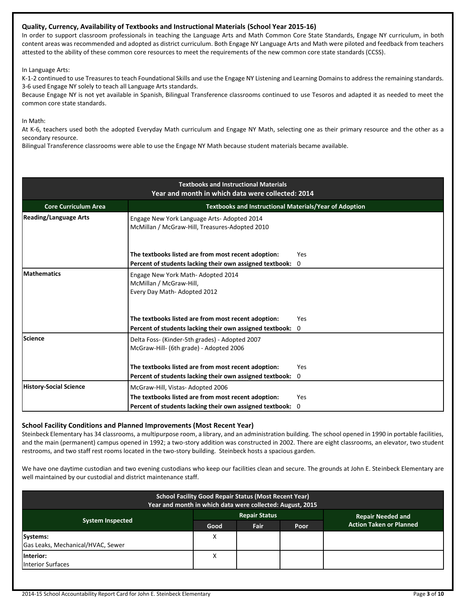## **Quality, Currency, Availability of Textbooks and Instructional Materials (School Year 2015-16)**

In order to support classroom professionals in teaching the Language Arts and Math Common Core State Standards, Engage NY curriculum, in both content areas was recommended and adopted as district curriculum. Both Engage NY Language Arts and Math were piloted and feedback from teachers attested to the ability of these common core resources to meet the requirements of the new common core state standards (CCSS).

In Language Arts:

K-1-2 continued to use Treasures to teach Foundational Skills and use the Engage NY Listening and Learning Domains to address the remaining standards. 3-6 used Engage NY solely to teach all Language Arts standards.

Because Engage NY is not yet available in Spanish, Bilingual Transference classrooms continued to use Tesoros and adapted it as needed to meet the common core state standards.

In Math:

At K-6, teachers used both the adopted Everyday Math curriculum and Engage NY Math, selecting one as their primary resource and the other as a secondary resource.

Bilingual Transference classrooms were able to use the Engage NY Math because student materials became available.

| <b>Textbooks and Instructional Materials</b><br>Year and month in which data were collected: 2014 |                                                                                                                   |          |  |  |  |  |
|---------------------------------------------------------------------------------------------------|-------------------------------------------------------------------------------------------------------------------|----------|--|--|--|--|
| Textbooks and Instructional Materials/Year of Adoption<br><b>Core Curriculum Area</b>             |                                                                                                                   |          |  |  |  |  |
| <b>Reading/Language Arts</b>                                                                      | Engage New York Language Arts-Adopted 2014<br>McMillan / McGraw-Hill, Treasures-Adopted 2010                      |          |  |  |  |  |
|                                                                                                   | The textbooks listed are from most recent adoption:<br>Percent of students lacking their own assigned textbook: 0 | Yes      |  |  |  |  |
| <b>Mathematics</b>                                                                                | Engage New York Math-Adopted 2014<br>McMillan / McGraw-Hill,<br>Every Day Math-Adopted 2012                       |          |  |  |  |  |
|                                                                                                   | The textbooks listed are from most recent adoption:<br>Percent of students lacking their own assigned textbook: 0 | Yes      |  |  |  |  |
| Science                                                                                           | Delta Foss- (Kinder-5th grades) - Adopted 2007<br>McGraw-Hill- (6th grade) - Adopted 2006                         |          |  |  |  |  |
|                                                                                                   | The textbooks listed are from most recent adoption:                                                               | Yes      |  |  |  |  |
| <b>History-Social Science</b>                                                                     | Percent of students lacking their own assigned textbook:                                                          | 0        |  |  |  |  |
|                                                                                                   | McGraw-Hill, Vistas-Adopted 2006<br>The textbooks listed are from most recent adoption:                           | Yes      |  |  |  |  |
|                                                                                                   | Percent of students lacking their own assigned textbook:                                                          | $\Omega$ |  |  |  |  |

## **School Facility Conditions and Planned Improvements (Most Recent Year)**

Steinbeck Elementary has 34 classrooms, a multipurpose room, a library, and an administration building. The school opened in 1990 in portable facilities, and the main (permanent) campus opened in 1992; a two-story addition was constructed in 2002. There are eight classrooms, an elevator, two student restrooms, and two staff rest rooms located in the two-story building. Steinbeck hosts a spacious garden.

We have one daytime custodian and two evening custodians who keep our facilities clean and secure. The grounds at John E. Steinbeck Elementary are well maintained by our custodial and district maintenance staff.

| <b>School Facility Good Repair Status (Most Recent Year)</b><br>Year and month in which data were collected: August, 2015 |        |                      |      |                                |  |
|---------------------------------------------------------------------------------------------------------------------------|--------|----------------------|------|--------------------------------|--|
|                                                                                                                           |        | <b>Repair Status</b> |      | <b>Repair Needed and</b>       |  |
| <b>System Inspected</b>                                                                                                   | Good   | <b>Fair</b>          | Poor | <b>Action Taken or Planned</b> |  |
| Systems:                                                                                                                  | Χ      |                      |      |                                |  |
| Gas Leaks, Mechanical/HVAC, Sewer                                                                                         |        |                      |      |                                |  |
| Interior:<br><b>Interior Surfaces</b>                                                                                     | ν<br>⋏ |                      |      |                                |  |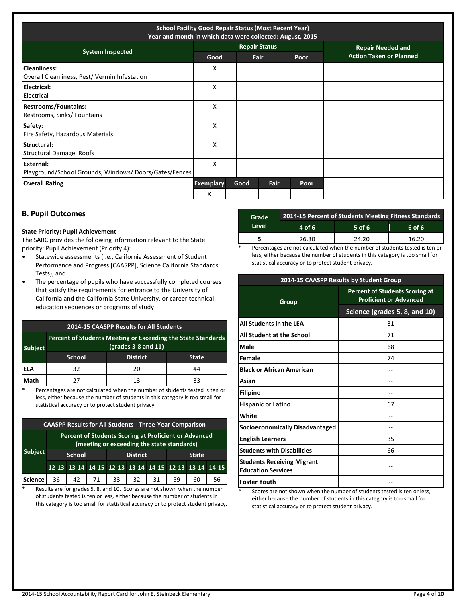| <b>School Facility Good Repair Status (Most Recent Year)</b><br>Year and month in which data were collected: August, 2015 |                       |      |                      |      |                                |
|---------------------------------------------------------------------------------------------------------------------------|-----------------------|------|----------------------|------|--------------------------------|
| <b>System Inspected</b>                                                                                                   |                       |      | <b>Repair Status</b> |      | <b>Repair Needed and</b>       |
|                                                                                                                           | Good                  |      | <b>Fair</b>          | Poor | <b>Action Taken or Planned</b> |
| <b>Cleanliness:</b><br>Overall Cleanliness, Pest/Vermin Infestation                                                       | х                     |      |                      |      |                                |
| Electrical:<br>Electrical                                                                                                 | X                     |      |                      |      |                                |
| <b>Restrooms/Fountains:</b><br>Restrooms, Sinks/ Fountains                                                                | X                     |      |                      |      |                                |
| Safety:<br>Fire Safety, Hazardous Materials                                                                               | X                     |      |                      |      |                                |
| Structural:<br>Structural Damage, Roofs                                                                                   | X                     |      |                      |      |                                |
| External:<br>Playground/School Grounds, Windows/Doors/Gates/Fences                                                        | X                     |      |                      |      |                                |
| <b>Overall Rating</b>                                                                                                     | <b>Exemplary</b><br>X | Good | Fair                 | Poor |                                |

## **B. Pupil Outcomes**

#### **State Priority: Pupil Achievement**

The SARC provides the following information relevant to the State priority: Pupil Achievement (Priority 4):

- Statewide assessments (i.e., California Assessment of Student Performance and Progress [CAASPP], Science California Standards Tests); and
- The percentage of pupils who have successfully completed courses that satisfy the requirements for entrance to the University of California and the California State University, or career technical education sequences or programs of study

| <b>2014-15 CAASPP Results for All Students</b> |                                                                                       |                 |              |  |  |
|------------------------------------------------|---------------------------------------------------------------------------------------|-----------------|--------------|--|--|
| <b>Subject</b>                                 | Percent of Students Meeting or Exceeding the State Standards<br>$(grades 3-8 and 11)$ |                 |              |  |  |
|                                                | <b>School</b>                                                                         | <b>District</b> | <b>State</b> |  |  |
| lela                                           | 32                                                                                    | 20              | 44           |  |  |
| Math                                           | 27                                                                                    | 13              | 33           |  |  |

\* Percentages are not calculated when the number of students tested is ten or less, either because the number of students in this category is too small for statistical accuracy or to protect student privacy.

| <b>CAASPP Results for All Students - Three-Year Comparison</b> |                                                                                                     |    |                 |    |                                                       |              |    |    |    |
|----------------------------------------------------------------|-----------------------------------------------------------------------------------------------------|----|-----------------|----|-------------------------------------------------------|--------------|----|----|----|
|                                                                | Percent of Students Scoring at Proficient or Advanced<br>(meeting or exceeding the state standards) |    |                 |    |                                                       |              |    |    |    |
| <b>Subject</b>                                                 | <b>School</b>                                                                                       |    | <b>District</b> |    |                                                       | <b>State</b> |    |    |    |
|                                                                |                                                                                                     |    |                 |    | 12-13 13-14 14-15 12-13 13-14 14-15 12-13 13-14 14-15 |              |    |    |    |
| <b>Science</b>                                                 | 36                                                                                                  | 42 | 71              | 33 | 32                                                    | 31           | 59 | 60 | 56 |

\* Results are for grades 5, 8, and 10. Scores are not shown when the number of students tested is ten or less, either because the number of students in this category is too small for statistical accuracy or to protect student privacy.

| <b>Grade</b> | 2014-15 Percent of Students Meeting Fitness Standards |          |        |  |  |  |
|--------------|-------------------------------------------------------|----------|--------|--|--|--|
| Level        | 4 of 6                                                | $5$ of 6 | 6 of 6 |  |  |  |
|              | 26.30                                                 | 24.20    | 16.20  |  |  |  |

Percentages are not calculated when the number of students tested is ten or less, either because the number of students in this category is too small for statistical accuracy or to protect student privacy.

| 2014-15 CAASPP Results by Student Group                        |                                                                        |  |  |  |  |
|----------------------------------------------------------------|------------------------------------------------------------------------|--|--|--|--|
| Group                                                          | <b>Percent of Students Scoring at</b><br><b>Proficient or Advanced</b> |  |  |  |  |
|                                                                | Science (grades 5, 8, and 10)                                          |  |  |  |  |
| All Students in the LEA                                        | 31                                                                     |  |  |  |  |
| All Student at the School                                      | 71                                                                     |  |  |  |  |
| Male                                                           | 68                                                                     |  |  |  |  |
| Female                                                         | 74                                                                     |  |  |  |  |
| <b>Black or African American</b>                               |                                                                        |  |  |  |  |
| Asian                                                          |                                                                        |  |  |  |  |
| <b>Filipino</b>                                                |                                                                        |  |  |  |  |
| <b>Hispanic or Latino</b>                                      | 67                                                                     |  |  |  |  |
| White                                                          |                                                                        |  |  |  |  |
| <b>Socioeconomically Disadvantaged</b>                         |                                                                        |  |  |  |  |
| <b>English Learners</b>                                        | 35                                                                     |  |  |  |  |
| <b>Students with Disabilities</b>                              | 66                                                                     |  |  |  |  |
| <b>Students Receiving Migrant</b><br><b>Education Services</b> |                                                                        |  |  |  |  |
| <b>Foster Youth</b>                                            |                                                                        |  |  |  |  |

Scores are not shown when the number of students tested is ten or less, either because the number of students in this category is too small for statistical accuracy or to protect student privacy.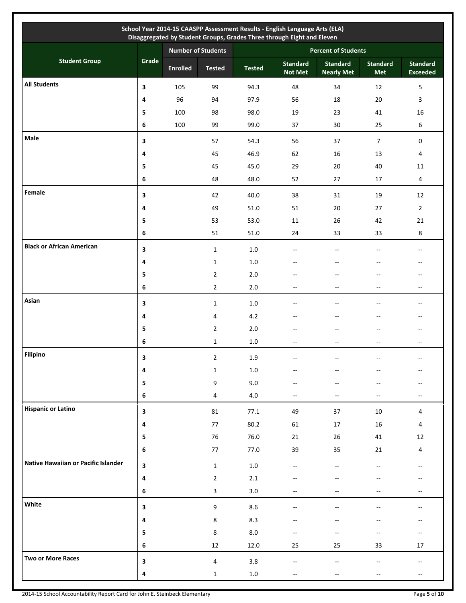|                                     |                         |                           |                |               | School Year 2014-15 CAASPP Assessment Results - English Language Arts (ELA)<br>Disaggregated by Student Groups, Grades Three through Eight and Eleven |                                      |                          |                                    |
|-------------------------------------|-------------------------|---------------------------|----------------|---------------|-------------------------------------------------------------------------------------------------------------------------------------------------------|--------------------------------------|--------------------------|------------------------------------|
|                                     |                         | <b>Number of Students</b> |                |               |                                                                                                                                                       | <b>Percent of Students</b>           |                          |                                    |
| <b>Student Group</b>                | Grade                   | <b>Enrolled</b>           | <b>Tested</b>  | <b>Tested</b> | <b>Standard</b><br><b>Not Met</b>                                                                                                                     | <b>Standard</b><br><b>Nearly Met</b> | <b>Standard</b><br>Met   | <b>Standard</b><br><b>Exceeded</b> |
| <b>All Students</b>                 | 3                       | 105                       | 99             | 94.3          | 48                                                                                                                                                    | 34                                   | 12                       | 5                                  |
|                                     | 4                       | 96                        | 94             | 97.9          | 56                                                                                                                                                    | 18                                   | 20                       | $\mathsf 3$                        |
|                                     | 5                       | 100                       | 98             | 98.0          | 19                                                                                                                                                    | 23                                   | 41                       | 16                                 |
|                                     | 6                       | 100                       | 99             | 99.0          | 37                                                                                                                                                    | 30                                   | 25                       | 6                                  |
| Male                                | 3                       |                           | 57             | 54.3          | 56                                                                                                                                                    | 37                                   | $\overline{7}$           | $\pmb{0}$                          |
|                                     | 4                       |                           | 45             | 46.9          | 62                                                                                                                                                    | 16                                   | 13                       | 4                                  |
|                                     | 5                       |                           | 45             | 45.0          | 29                                                                                                                                                    | 20                                   | 40                       | $11\,$                             |
|                                     | 6                       |                           | 48             | 48.0          | 52                                                                                                                                                    | 27                                   | 17                       | $\overline{4}$                     |
| Female                              | 3                       |                           | 42             | 40.0          | 38                                                                                                                                                    | 31                                   | 19                       | 12                                 |
|                                     | 4                       |                           | 49             | 51.0          | 51                                                                                                                                                    | 20                                   | 27                       | $\overline{2}$                     |
|                                     | 5                       |                           | 53             | 53.0          | 11                                                                                                                                                    | 26                                   | 42                       | 21                                 |
|                                     | 6                       |                           | 51             | 51.0          | 24                                                                                                                                                    | 33                                   | 33                       | $\bf 8$                            |
| <b>Black or African American</b>    | 3                       |                           | $\mathbf{1}$   | $1.0\,$       | --                                                                                                                                                    | $-\, -$                              | --                       | $-\,$                              |
|                                     | 4                       |                           | $\mathbf{1}$   | $1.0\,$       | --                                                                                                                                                    | --                                   | --                       | $-\,$                              |
|                                     | 5                       |                           | $\overline{2}$ | 2.0           | --                                                                                                                                                    | $-$                                  | --                       | $-\,$                              |
|                                     | 6                       |                           | $\overline{2}$ | $2.0\,$       | $\overline{\phantom{a}}$                                                                                                                              | $\overline{\phantom{a}}$             | $\overline{\phantom{a}}$ | $\overline{\phantom{a}}$           |
| Asian                               | 3                       |                           | $\mathbf{1}$   | $1.0\,$       | --                                                                                                                                                    | $-$                                  |                          | $-\,$                              |
|                                     | 4                       |                           | 4              | 4.2           | --                                                                                                                                                    | --                                   |                          | $-\,$                              |
|                                     | 5                       |                           | $\mathbf{2}$   | 2.0           | --                                                                                                                                                    | --                                   | --                       | $\overline{\phantom{a}}$           |
|                                     | 6                       |                           | $\mathbf 1$    | $1.0\,$       | --                                                                                                                                                    | --                                   | $-$                      | $\overline{\phantom{a}}$           |
| Filipino                            | 3                       |                           | $\overline{2}$ | $1.9\,$       |                                                                                                                                                       |                                      |                          |                                    |
|                                     | 4                       |                           | $\mathbf{1}$   | $1.0\,$       | --                                                                                                                                                    |                                      |                          |                                    |
|                                     | 5                       |                           | 9              | 9.0           |                                                                                                                                                       |                                      |                          |                                    |
|                                     | $\bf 6$                 |                           | 4              | 4.0           | $-$                                                                                                                                                   |                                      |                          | $\overline{\phantom{a}}$           |
| <b>Hispanic or Latino</b>           | $\overline{\mathbf{3}}$ |                           | 81             | 77.1          | 49                                                                                                                                                    | 37                                   | 10                       | 4                                  |
|                                     | 4                       |                           | $77$           | 80.2          | 61                                                                                                                                                    | 17                                   | 16                       | 4                                  |
|                                     | 5                       |                           | 76             | 76.0          | 21                                                                                                                                                    | 26                                   | 41                       | 12                                 |
|                                     | $\bf 6$                 |                           | 77             | 77.0          | 39                                                                                                                                                    | 35                                   | 21                       | $\overline{4}$                     |
| Native Hawaiian or Pacific Islander | $\overline{\mathbf{3}}$ |                           | $\mathbf{1}$   | $1.0\,$       |                                                                                                                                                       |                                      |                          | $-$                                |
|                                     | 4                       |                           | $\overline{2}$ | $2.1\,$       |                                                                                                                                                       |                                      |                          |                                    |
|                                     | $\bf 6$                 |                           | 3              | $3.0\,$       |                                                                                                                                                       |                                      |                          |                                    |
| White                               | $\overline{\mathbf{3}}$ |                           | 9              | 8.6           | $-$                                                                                                                                                   | $-$                                  |                          | $-$                                |
|                                     | 4                       |                           | 8              | 8.3           |                                                                                                                                                       |                                      |                          |                                    |
|                                     | 5                       |                           | 8              | $8.0\,$       | $-$                                                                                                                                                   | $-$                                  |                          | $\overline{\phantom{a}}$           |
|                                     | $\bf 6$                 |                           | 12             | $12.0\,$      | 25                                                                                                                                                    | 25                                   | 33                       | 17                                 |
| Two or More Races                   | $\mathbf{3}$            |                           | 4              | 3.8           |                                                                                                                                                       |                                      |                          |                                    |
|                                     | $\pmb{4}$               |                           | $\mathbf{1}$   | $1.0\,$       |                                                                                                                                                       |                                      |                          |                                    |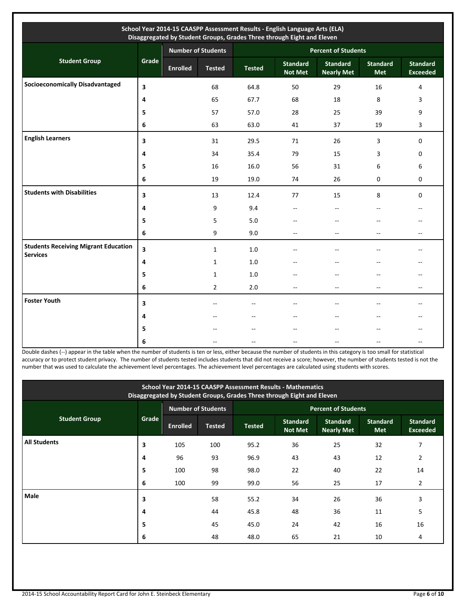| School Year 2014-15 CAASPP Assessment Results - English Language Arts (ELA)<br>Disaggregated by Student Groups, Grades Three through Eight and Eleven |                         |                           |                |                            |                                   |                                      |                               |                                    |  |
|-------------------------------------------------------------------------------------------------------------------------------------------------------|-------------------------|---------------------------|----------------|----------------------------|-----------------------------------|--------------------------------------|-------------------------------|------------------------------------|--|
|                                                                                                                                                       |                         | <b>Number of Students</b> |                | <b>Percent of Students</b> |                                   |                                      |                               |                                    |  |
| <b>Student Group</b>                                                                                                                                  | Grade                   | <b>Enrolled</b>           | <b>Tested</b>  | <b>Tested</b>              | <b>Standard</b><br><b>Not Met</b> | <b>Standard</b><br><b>Nearly Met</b> | <b>Standard</b><br><b>Met</b> | <b>Standard</b><br><b>Exceeded</b> |  |
| <b>Socioeconomically Disadvantaged</b>                                                                                                                | 3                       |                           | 68             | 64.8                       | 50                                | 29                                   | 16                            | 4                                  |  |
|                                                                                                                                                       | 4                       |                           | 65             | 67.7                       | 68                                | 18                                   | 8                             | 3                                  |  |
|                                                                                                                                                       | 5                       |                           | 57             | 57.0                       | 28                                | 25                                   | 39                            | 9                                  |  |
|                                                                                                                                                       | 6                       |                           | 63             | 63.0                       | 41                                | 37                                   | 19                            | 3                                  |  |
| <b>English Learners</b>                                                                                                                               | 3                       |                           | 31             | 29.5                       | 71                                | 26                                   | 3                             | $\mathbf 0$                        |  |
|                                                                                                                                                       | 4                       |                           | 34             | 35.4                       | 79                                | 15                                   | 3                             | 0                                  |  |
|                                                                                                                                                       | 5                       |                           | 16             | 16.0                       | 56                                | 31                                   | 6                             | 6                                  |  |
|                                                                                                                                                       | 6                       |                           | 19             | 19.0                       | 74                                | 26                                   | $\mathbf 0$                   | $\boldsymbol{0}$                   |  |
| <b>Students with Disabilities</b>                                                                                                                     | $\overline{\mathbf{3}}$ |                           | 13             | 12.4                       | 77                                | 15                                   | 8                             | $\mathbf 0$                        |  |
|                                                                                                                                                       | 4                       |                           | 9              | 9.4                        | --                                | $- -$                                | --                            |                                    |  |
|                                                                                                                                                       | 5                       |                           | 5              | $5.0\,$                    | --                                | $-$                                  | $-$                           | --                                 |  |
|                                                                                                                                                       | 6                       |                           | 9              | 9.0                        | --                                | $\overline{a}$                       | $\overline{a}$                | $\overline{a}$                     |  |
| <b>Students Receiving Migrant Education</b><br><b>Services</b>                                                                                        | $\overline{\mathbf{3}}$ |                           | $\mathbf{1}$   | 1.0                        |                                   |                                      |                               |                                    |  |
|                                                                                                                                                       | 4                       |                           | $\mathbf{1}$   | 1.0                        | $-$                               |                                      |                               | $-$                                |  |
|                                                                                                                                                       | 5                       |                           | $\mathbf{1}$   | 1.0                        | --                                | $-$                                  | $-$                           | --                                 |  |
|                                                                                                                                                       | 6                       |                           | $\overline{2}$ | 2.0                        | $-$                               | --                                   | $\overline{\phantom{a}}$      | $\overline{a}$                     |  |
| <b>Foster Youth</b>                                                                                                                                   | 3                       |                           | $-$            | $-$                        | $-$                               | $-$                                  | $-$                           | $- -$                              |  |
|                                                                                                                                                       | 4                       |                           |                | $\overline{a}$             |                                   |                                      |                               | $-$                                |  |
|                                                                                                                                                       | 5                       |                           |                | $-$                        | $=$                               | $-$                                  | $-$                           | $-$                                |  |
|                                                                                                                                                       | 6                       |                           |                |                            |                                   |                                      |                               | $- -$                              |  |

Double dashes (--) appear in the table when the number of students is ten or less, either because the number of students in this category is too small for statistical accuracy or to protect student privacy. The number of students tested includes students that did not receive a score; however, the number of students tested is not the number that was used to calculate the achievement level percentages. The achievement level percentages are calculated using students with scores.

| School Year 2014-15 CAASPP Assessment Results - Mathematics<br>Disaggregated by Student Groups, Grades Three through Eight and Eleven |       |                           |               |               |                                   |                                      |                               |                                    |
|---------------------------------------------------------------------------------------------------------------------------------------|-------|---------------------------|---------------|---------------|-----------------------------------|--------------------------------------|-------------------------------|------------------------------------|
|                                                                                                                                       |       | <b>Number of Students</b> |               |               |                                   | <b>Percent of Students</b>           |                               |                                    |
| <b>Student Group</b>                                                                                                                  | Grade | <b>Enrolled</b>           | <b>Tested</b> | <b>Tested</b> | <b>Standard</b><br><b>Not Met</b> | <b>Standard</b><br><b>Nearly Met</b> | <b>Standard</b><br><b>Met</b> | <b>Standard</b><br><b>Exceeded</b> |
| <b>All Students</b>                                                                                                                   | 3     | 105                       | 100           | 95.2          | 36                                | 25                                   | 32                            | 7                                  |
|                                                                                                                                       | 4     | 96                        | 93            | 96.9          | 43                                | 43                                   | 12                            | $\overline{2}$                     |
|                                                                                                                                       | 5     | 100                       | 98            | 98.0          | 22                                | 40                                   | 22                            | 14                                 |
|                                                                                                                                       | 6     | 100                       | 99            | 99.0          | 56                                | 25                                   | 17                            | $\overline{2}$                     |
| Male                                                                                                                                  | 3     |                           | 58            | 55.2          | 34                                | 26                                   | 36                            | 3                                  |
|                                                                                                                                       | 4     |                           | 44            | 45.8          | 48                                | 36                                   | 11                            | 5                                  |
|                                                                                                                                       | 5     |                           | 45            | 45.0          | 24                                | 42                                   | 16                            | 16                                 |
|                                                                                                                                       | 6     |                           | 48            | 48.0          | 65                                | 21                                   | 10                            | 4                                  |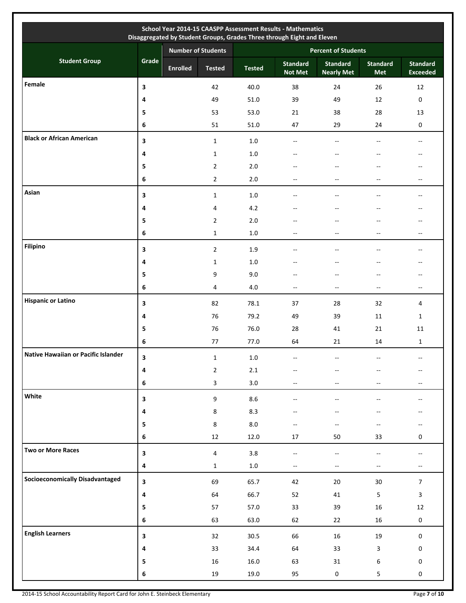|                                        |                         |                           |                  |               | Disaggregated by Student Groups, Grades Three through Eight and Eleven |                                      |                               |                                    |
|----------------------------------------|-------------------------|---------------------------|------------------|---------------|------------------------------------------------------------------------|--------------------------------------|-------------------------------|------------------------------------|
|                                        |                         | <b>Number of Students</b> |                  |               |                                                                        | <b>Percent of Students</b>           |                               |                                    |
| <b>Student Group</b>                   | Grade                   | <b>Enrolled</b>           | <b>Tested</b>    | <b>Tested</b> | <b>Standard</b><br><b>Not Met</b>                                      | <b>Standard</b><br><b>Nearly Met</b> | <b>Standard</b><br><b>Met</b> | <b>Standard</b><br><b>Exceeded</b> |
| Female                                 | 3                       |                           | 42               | 40.0          | 38                                                                     | 24                                   | 26                            | 12                                 |
|                                        | 4                       |                           | 49               | 51.0          | 39                                                                     | 49                                   | 12                            | 0                                  |
|                                        | 5                       |                           | 53               | 53.0          | 21                                                                     | 38                                   | 28                            | 13                                 |
|                                        | 6                       |                           | 51               | 51.0          | 47                                                                     | 29                                   | 24                            | 0                                  |
| <b>Black or African American</b>       | 3                       |                           | $\mathbf{1}$     | $1.0\,$       | $\hspace{0.05cm} -\hspace{0.05cm} -\hspace{0.05cm}$                    | $\overline{\phantom{a}}$             | $-$                           | $\overline{\phantom{a}}$           |
|                                        | 4                       |                           | $\mathbf{1}$     | $1.0\,$       | $\hspace{0.05cm} -\hspace{0.05cm} -\hspace{0.05cm}$                    | $\overline{\phantom{a}}$             | $- -$                         | --                                 |
|                                        | 5                       |                           | $\overline{2}$   | 2.0           |                                                                        | ۵.                                   |                               | --                                 |
|                                        | 6                       |                           | $\overline{2}$   | $2.0\,$       | $- -$                                                                  | --                                   | --                            | --                                 |
| Asian                                  | 3                       |                           | $\mathbf{1}$     | $1.0\,$       |                                                                        | $-$                                  |                               | --                                 |
|                                        | 4                       |                           | 4                | 4.2           |                                                                        | ۵.                                   |                               | --                                 |
|                                        | 5                       |                           | $\overline{2}$   | 2.0           |                                                                        | --                                   |                               | --                                 |
|                                        | 6                       |                           | $\mathbf{1}$     | $1.0\,$       | $\overline{\phantom{a}}$                                               | $\overline{a}$                       | $-$                           | --                                 |
| <b>Filipino</b>                        | 3                       |                           | $\overline{2}$   | 1.9           | --                                                                     | $\overline{a}$                       |                               | --                                 |
|                                        | 4                       |                           | $\mathbf{1}$     | $1.0\,$       | $\overline{a}$                                                         | $\overline{a}$                       |                               | $-$                                |
|                                        | 5                       |                           | 9                | 9.0           | $-$                                                                    | $\overline{a}$                       |                               | --                                 |
|                                        | 6                       |                           | 4                | 4.0           | $\mathcal{L}_{\mathcal{F}}$                                            | $\overline{\phantom{a}}$             | $- -$                         | $\overline{\phantom{a}}$           |
| <b>Hispanic or Latino</b>              | 3                       |                           | 82               | 78.1          | 37                                                                     | 28                                   | 32                            | 4                                  |
|                                        | 4                       |                           | 76               | 79.2          | 49                                                                     | 39                                   | 11                            | $\mathbf{1}$                       |
|                                        | 5                       |                           | 76               | 76.0          | 28                                                                     | 41                                   | 21                            | 11                                 |
|                                        | 6                       |                           | 77               | 77.0          | 64                                                                     | 21                                   | 14                            | $\mathbf{1}$                       |
| Native Hawaiian or Pacific Islander    | 3                       |                           | $\mathbf 1$      | $1.0\,$       |                                                                        |                                      |                               |                                    |
|                                        | $\pmb{4}$               |                           | $\overline{2}$   | $2.1\,$       | $\overline{\phantom{a}}$                                               | $\overline{a}$                       |                               | --                                 |
|                                        | 6                       |                           | 3                | 3.0           | $\hspace{0.05cm} -\hspace{0.05cm} -\hspace{0.05cm}$                    | $\overline{\phantom{a}}$             | $-$                           | $-$                                |
| White                                  | 3                       |                           | $\boldsymbol{9}$ | $8.6\,$       | $- -$                                                                  | $\overline{\phantom{a}}$             |                               |                                    |
|                                        | 4                       |                           | $\,8\,$          | 8.3           |                                                                        | --                                   |                               |                                    |
|                                        | 5                       |                           | $\,8\,$          | $8.0\,$       | $\overline{\phantom{a}}$                                               | $\overline{\phantom{a}}$             | $\overline{a}$                | $\overline{\phantom{a}}$           |
|                                        | 6                       |                           | 12               | 12.0          | 17                                                                     | 50                                   | 33                            | 0                                  |
| Two or More Races                      | $\mathbf{3}$            |                           | $\overline{4}$   | 3.8           | $\overline{\phantom{a}}$                                               | $\overline{\phantom{a}}$             |                               | --                                 |
|                                        | 4                       |                           | $\mathbf{1}$     | $1.0\,$       | $\overline{\phantom{a}}$                                               | $\mathcal{L}_{\mathcal{F}}$          | $- -$                         | --                                 |
| <b>Socioeconomically Disadvantaged</b> | $\overline{\mathbf{3}}$ |                           | 69               | 65.7          | 42                                                                     | $20\,$                               | 30 <sup>°</sup>               | $\overline{7}$                     |
|                                        | 4                       |                           | 64               | 66.7          | 52                                                                     | 41                                   | 5                             | $\mathbf{3}$                       |
|                                        | 5                       |                           | 57               | 57.0          | 33                                                                     | 39                                   | $16\,$                        | 12                                 |
|                                        | 6                       |                           | 63               | 63.0          | 62                                                                     | 22                                   | 16                            | $\mathbf 0$                        |
| <b>English Learners</b>                | $\overline{\mathbf{3}}$ |                           | 32               | 30.5          | 66                                                                     | $16\,$                               | 19                            | $\boldsymbol{0}$                   |
|                                        | 4                       |                           | 33               | 34.4          | 64                                                                     | 33                                   | $\mathbf{3}$                  | 0                                  |
|                                        | 5                       |                           | 16               | 16.0          | 63                                                                     | $31\,$                               | 6                             | 0                                  |
|                                        | 6                       |                           | 19               | 19.0          | 95                                                                     | $\mathbf 0$                          | 5 <sub>1</sub>                | $\pmb{0}$                          |

2014-15 School Accountability Report Card for John E. Steinbeck Elementary Page **7** of **10**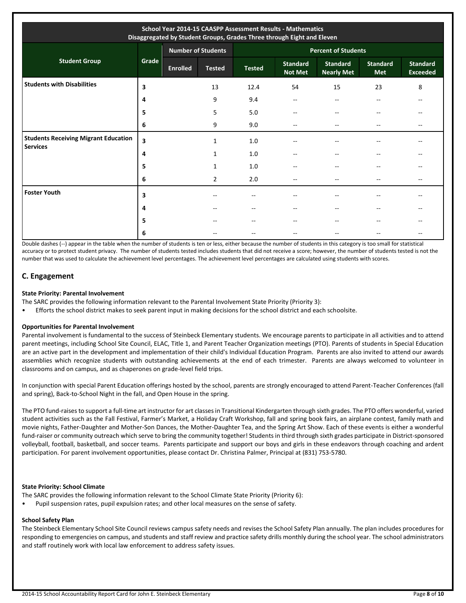|                                                                | School Year 2014-15 CAASPP Assessment Results - Mathematics<br>Disaggregated by Student Groups, Grades Three through Eight and Eleven |                 |                           |                            |                                       |                                      |                               |                                    |  |
|----------------------------------------------------------------|---------------------------------------------------------------------------------------------------------------------------------------|-----------------|---------------------------|----------------------------|---------------------------------------|--------------------------------------|-------------------------------|------------------------------------|--|
|                                                                |                                                                                                                                       |                 | <b>Number of Students</b> | <b>Percent of Students</b> |                                       |                                      |                               |                                    |  |
| <b>Student Group</b>                                           | Grade                                                                                                                                 | <b>Enrolled</b> | <b>Tested</b>             | <b>Tested</b>              | <b>Standard</b><br><b>Not Met</b>     | <b>Standard</b><br><b>Nearly Met</b> | <b>Standard</b><br><b>Met</b> | <b>Standard</b><br><b>Exceeded</b> |  |
| <b>Students with Disabilities</b>                              | 3                                                                                                                                     |                 | 13                        | 12.4                       | 54                                    | 15                                   | 23                            | 8                                  |  |
|                                                                | 4                                                                                                                                     |                 | 9                         | 9.4                        | $\overline{\phantom{a}}$              | $- -$                                | $- -$                         | --                                 |  |
|                                                                | 5                                                                                                                                     |                 | 5                         | 5.0                        | $-$                                   | $- -$                                | $- -$                         |                                    |  |
|                                                                | 6                                                                                                                                     |                 | 9                         | 9.0                        | $\overline{\phantom{a}}$              | $- -$                                | $-$                           | --                                 |  |
| <b>Students Receiving Migrant Education</b><br><b>Services</b> | 3                                                                                                                                     |                 | 1                         | 1.0                        | $\overline{\phantom{a}}$              |                                      | --                            | --                                 |  |
|                                                                | 4                                                                                                                                     |                 | 1                         | 1.0                        |                                       |                                      | --                            |                                    |  |
|                                                                | 5                                                                                                                                     |                 | 1                         | 1.0                        |                                       |                                      | --                            |                                    |  |
|                                                                | 6                                                                                                                                     |                 | $\overline{2}$            | 2.0                        | $-$                                   | $-$                                  | $-$                           |                                    |  |
| <b>Foster Youth</b>                                            | 3                                                                                                                                     |                 | $- -$                     | $-$                        | $-$                                   | --                                   | --                            | $-$                                |  |
|                                                                | 4                                                                                                                                     |                 |                           | $- -$                      |                                       |                                      |                               |                                    |  |
|                                                                | 5                                                                                                                                     |                 |                           | --                         | --                                    | $-$                                  | --                            |                                    |  |
|                                                                | 6                                                                                                                                     |                 |                           | --                         | $\hspace{0.05cm}$ – $\hspace{0.05cm}$ | --                                   | --                            |                                    |  |

Double dashes (--) appear in the table when the number of students is ten or less, either because the number of students in this category is too small for statistical accuracy or to protect student privacy. The number of students tested includes students that did not receive a score; however, the number of students tested is not the number that was used to calculate the achievement level percentages. The achievement level percentages are calculated using students with scores.

## **C. Engagement**

## **State Priority: Parental Involvement**

The SARC provides the following information relevant to the Parental Involvement State Priority (Priority 3):

• Efforts the school district makes to seek parent input in making decisions for the school district and each schoolsite.

## **Opportunities for Parental Involvement**

Parental involvement is fundamental to the success of Steinbeck Elementary students. We encourage parents to participate in all activities and to attend parent meetings, including School Site Council, ELAC, Title 1, and Parent Teacher Organization meetings (PTO). Parents of students in Special Education are an active part in the development and implementation of their child's Individual Education Program. Parents are also invited to attend our awards assemblies which recognize students with outstanding achievements at the end of each trimester. Parents are always welcomed to volunteer in classrooms and on campus, and as chaperones on grade-level field trips.

In conjunction with special Parent Education offerings hosted by the school, parents are strongly encouraged to attend Parent-Teacher Conferences (fall and spring), Back-to-School Night in the fall, and Open House in the spring.

The PTO fund-raises to support a full-time art instructor for art classes in Transitional Kindergarten through sixth grades. The PTO offers wonderful, varied student activities such as the Fall Festival, Farmer's Market, a Holiday Craft Workshop, fall and spring book fairs, an airplane contest, family math and movie nights, Father-Daughter and Mother-Son Dances, the Mother-Daughter Tea, and the Spring Art Show. Each of these events is either a wonderful fund-raiser or community outreach which serve to bring the community together! Students in third through sixth grades participate in District-sponsored volleyball, football, basketball, and soccer teams. Parents participate and support our boys and girls in these endeavors through coaching and ardent participation. For parent involvement opportunities, please contact Dr. Christina Palmer, Principal at (831) 753-5780.

#### **State Priority: School Climate**

The SARC provides the following information relevant to the School Climate State Priority (Priority 6):

• Pupil suspension rates, pupil expulsion rates; and other local measures on the sense of safety.

## **School Safety Plan**

The Steinbeck Elementary School Site Council reviews campus safety needs and revises the School Safety Plan annually. The plan includes procedures for responding to emergencies on campus, and students and staff review and practice safety drills monthly during the school year. The school administrators and staff routinely work with local law enforcement to address safety issues.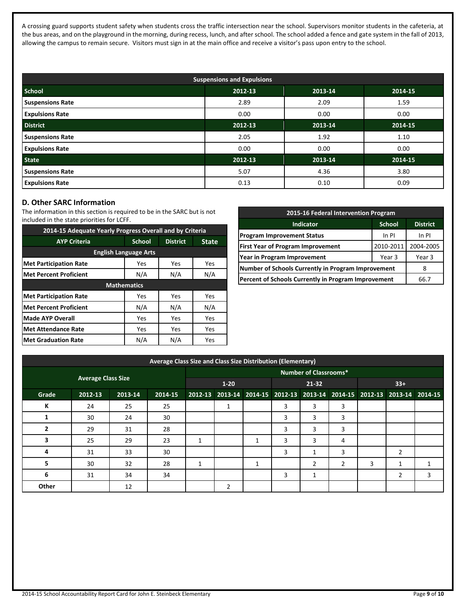A crossing guard supports student safety when students cross the traffic intersection near the school. Supervisors monitor students in the cafeteria, at the bus areas, and on the playground in the morning, during recess, lunch, and after school. The school added a fence and gate system in the fall of 2013, allowing the campus to remain secure. Visitors must sign in at the main office and receive a visitor's pass upon entry to the school.

|                         | <b>Suspensions and Expulsions</b> |         |         |  |  |  |  |
|-------------------------|-----------------------------------|---------|---------|--|--|--|--|
| <b>School</b>           | 2012-13                           | 2013-14 | 2014-15 |  |  |  |  |
| <b>Suspensions Rate</b> | 2.89                              | 2.09    | 1.59    |  |  |  |  |
| <b>Expulsions Rate</b>  | 0.00                              | 0.00    | 0.00    |  |  |  |  |
| <b>District</b>         | 2012-13                           | 2013-14 | 2014-15 |  |  |  |  |
| <b>Suspensions Rate</b> | 2.05                              | 1.92    | 1.10    |  |  |  |  |
| <b>Expulsions Rate</b>  | 0.00                              | 0.00    | 0.00    |  |  |  |  |
| <b>State</b>            | 2012-13                           | 2013-14 | 2014-15 |  |  |  |  |
| <b>Suspensions Rate</b> | 5.07                              | 4.36    | 3.80    |  |  |  |  |
| <b>Expulsions Rate</b>  | 0.13                              | 0.10    | 0.09    |  |  |  |  |

## **D. Other SARC Information**

The information in this section is required to be in the SARC but is not included in the state priorities for LCFF.

| 2014-15 Adequate Yearly Progress Overall and by Criteria |                                  |     |     |  |  |  |  |
|----------------------------------------------------------|----------------------------------|-----|-----|--|--|--|--|
| <b>AYP Criteria</b>                                      | <b>District</b><br><b>School</b> |     |     |  |  |  |  |
| <b>English Language Arts</b>                             |                                  |     |     |  |  |  |  |
| <b>Met Participation Rate</b>                            | Yes                              | Yes | Yes |  |  |  |  |
| <b>Met Percent Proficient</b>                            | N/A                              | N/A | N/A |  |  |  |  |
|                                                          | <b>Mathematics</b>               |     |     |  |  |  |  |
| <b>Met Participation Rate</b>                            | Yes                              | Yes | Yes |  |  |  |  |
| <b>Met Percent Proficient</b>                            | N/A                              | N/A | N/A |  |  |  |  |
| <b>Made AYP Overall</b>                                  | Yes                              | Yes | Yes |  |  |  |  |
| <b>Met Attendance Rate</b>                               | Yes                              | Yes | Yes |  |  |  |  |
| <b>Met Graduation Rate</b>                               | N/A                              | N/A | Yes |  |  |  |  |

| 2015-16 Federal Intervention Program                |                 |        |  |  |  |  |
|-----------------------------------------------------|-----------------|--------|--|--|--|--|
| <b>Indicator</b>                                    | <b>District</b> |        |  |  |  |  |
| <b>Program Improvement Status</b>                   | In PI           |        |  |  |  |  |
| <b>First Year of Program Improvement</b>            | 2004-2005       |        |  |  |  |  |
| Year in Program Improvement                         | Year 3          | Year 3 |  |  |  |  |
| Number of Schools Currently in Program Improvement  |                 |        |  |  |  |  |
| Percent of Schools Currently in Program Improvement | 66.7            |        |  |  |  |  |

|              | Average Class Size and Class Size Distribution (Elementary) |         |         |   |          |   |   |                |   |   |                                                                         |   |
|--------------|-------------------------------------------------------------|---------|---------|---|----------|---|---|----------------|---|---|-------------------------------------------------------------------------|---|
|              | <b>Number of Classrooms*</b>                                |         |         |   |          |   |   |                |   |   |                                                                         |   |
|              | <b>Average Class Size</b>                                   |         |         |   | $1 - 20$ |   |   | 21-32          |   |   | $33+$                                                                   |   |
| Grade        | 2012-13                                                     | 2013-14 | 2014-15 |   |          |   |   |                |   |   | 2012-13 2013-14 2014-15 2012-13 2013-14 2014-15 2012-13 2013-14 2014-15 |   |
| К            | 24                                                          | 25      | 25      |   | 1        |   | 3 | 3              | 3 |   |                                                                         |   |
|              | 30                                                          | 24      | 30      |   |          |   | 3 | 3              | 3 |   |                                                                         |   |
| $\mathbf{2}$ | 29                                                          | 31      | 28      |   |          |   | 3 | 3              | 3 |   |                                                                         |   |
| 3            | 25                                                          | 29      | 23      | 1 |          | 1 | 3 | 3              | 4 |   |                                                                         |   |
| 4            | 31                                                          | 33      | 30      |   |          |   | 3 | 1              | 3 |   | 2                                                                       |   |
| 5            | 30                                                          | 32      | 28      | 1 |          | 1 |   | $\overline{2}$ |   | 3 |                                                                         |   |
| 6            | 31                                                          | 34      | 34      |   |          |   | 3 | 1              |   |   | 2                                                                       | 3 |
| Other        |                                                             | 12      |         |   | 2        |   |   |                |   |   |                                                                         |   |